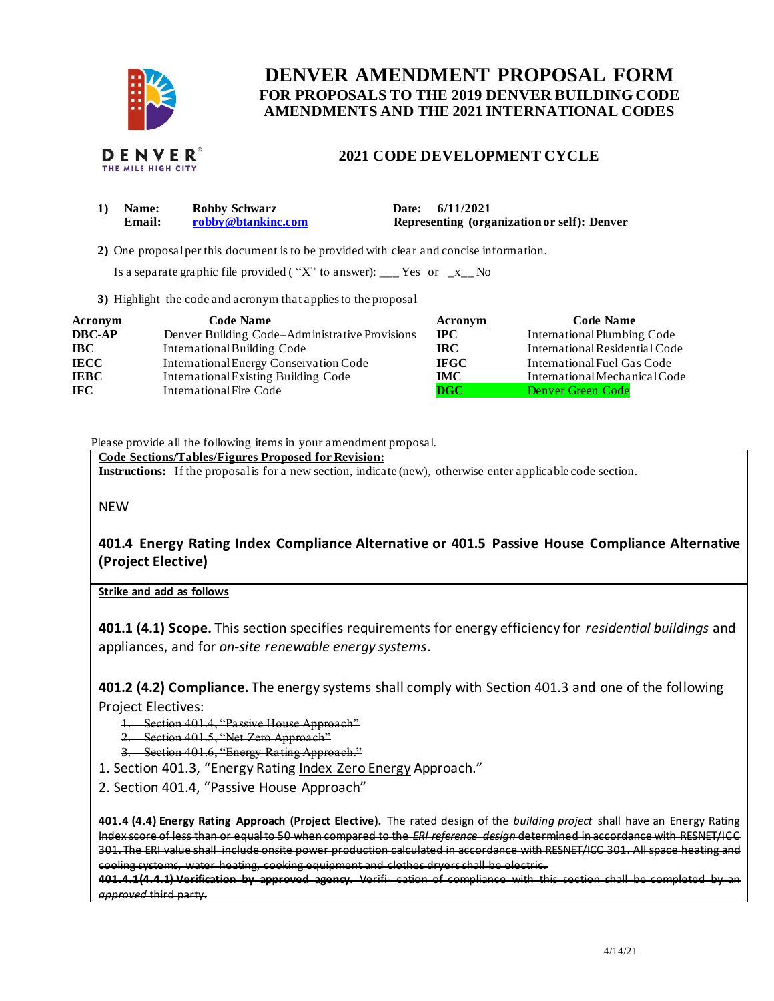

# **FOR PROPOSALS TO THE 2019 DENVER BUILDING CODE DENVER AMENDMENT PROPOSAL FORM AMENDMENTS AND THE 2021 INTERNATIONAL CODES**

# **2021 CODE DEVELOPMENT CYCLE**

| $\bf{1)}$ | <b>Name:</b> | Robby Schwarz      | Date: 6/11/2021                             |
|-----------|--------------|--------------------|---------------------------------------------|
|           | Email:       | robby@btankinc.com | Representing (organization or self): Denver |
|           |              |                    |                                             |

**2)** One proposalper this document is to be provided with clear and concise information.

Is a separate graphic file provided ("X" to answer): \_\_\_ Yes or  $-x_{\text{max}}$  No

**3)** Highlight the code and acronym that applies to the proposal

| <b>Acronym</b> | <b>Code Name</b>                               | Acronym                   | <b>Code Name</b>               |
|----------------|------------------------------------------------|---------------------------|--------------------------------|
| <b>DBC-AP</b>  | Denver Building Code–Administrative Provisions | $\bf IPC$                 | International Plumbing Code    |
| <b>IBC</b>     | International Building Code                    | IRC.                      | International Residential Code |
| <b>IECC</b>    | International Energy Conservation Code         | <b>IFGC</b>               | International Fuel Gas Code    |
| <b>IEBC</b>    | International Existing Building Code           | <b>IMC</b>                | International Mechanical Code  |
| IFC.           | International Fire Code                        | $\overline{\mathbf{DGC}}$ | Denver Green Code              |

Please provide all the following items in your amendment proposal.

 **Code Sections/Tables/Figures Proposed for Revision:** 

**Instructions:** If the proposalis for a new section, indicate (new), otherwise enter applicable code section.

NEW

## **401.4 Energy Rating Index Compliance Alternative or 401.5 Passive House Compliance Alternative (Project Elective)**

**Strike and add as follows** 

 **401.1 (4.1) Scope.** This section specifies requirements for energy efficiency for *residential buildings* and appliances, and for *on-site renewable energy systems*.

 **401.2 (4.2) Compliance.** The energy systems shall comply with Section 401.3 and one of the following Project Electives:

1. Section 401.4, "Passive House Approach"

2. Section 401.5, "Net Zero Approach"

3. Section 401.6, "Energy Rating Approach."

1. Section 401.3, "Energy Rating Index Zero Energy Approach."

2. Section 401.4, "Passive House Approach"

 **401.4 (4.4) Energy Rating Approach (Project Elective).** The rated design of the *building project* shall have an Energy Rating Index score of less than or equal to 50 when compared to the *ERI reference design* determined in accordance with RESNET/ICC 301. The ERI value shall include onsite power production calculated in accordance with RESNET/ICC 301. All space heating and cooling systems, water heating, cooking equipment and clothes dryers shall be electric.

 **401.4.1(4.4.1) Verification by approved agency.** Verifi- cation of compliance with this section shall be completed by an *approved* third party.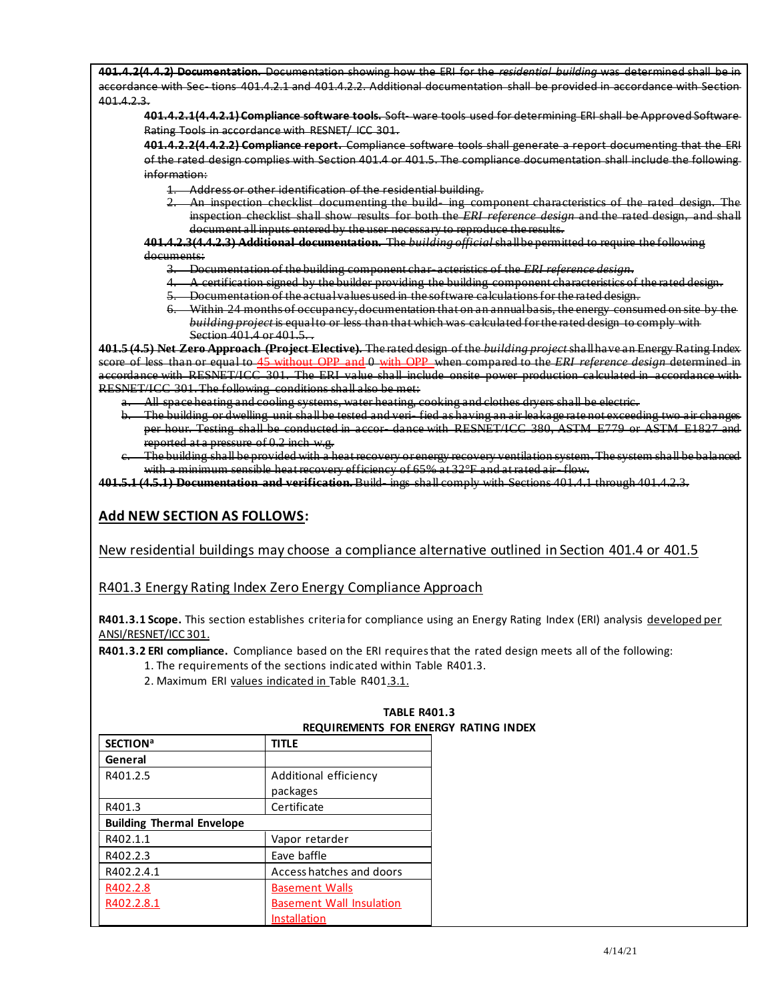**401.4.2(4.4.2) Documentation.** Documentation showing how the ERI for the *residential building* was determined shall be in accordance with Sec- tions 401.4.2.1 and 401.4.2.2. Additional documentation shall be provided in accordance with Section 401.4.2.3.

 **401.4.2.1(4.4.2.1) Compliance software tools.** Soft- ware tools used for determining ERI shall be Approved Software Rating Tools in accordance with RESNET/ ICC 301.

 **401.4.2.2(4.4.2.2) Compliance report.** Compliance software tools shall generate a report documenting that the ERI of the rated design complies with Section 401.4 or 401.5. The compliance documentation shall include the following information:

- 1. Address or other identification of the residential building.
- 2. An inspection checklist documenting the build- ing component characteristics of the rated design. The inspection checklist shall show results for both the *ERI reference design* and the rated design, and shall document all inputs entered by the user necessary to reproduce the results.

 **401.4.2.3(4.4.2.3) Additional documentation.** The *building official* shallbe permitted to require the following documents:

- 3. Documentation of the building component char- acteristics of the *ERI reference design*.
- 4. A certification signed by the builder providing the building component characteristics of the rated design.
- 5. Documentation of the actualvalues used in the software calculations for the rated design.
- 6. Within 24 months of occupancy, documentation that on an annualbasis, the energy consumed on site by the  *building project* is equalto or less than that which was calculated for the rated design to comply with Section 401.4 or 401.5. *.*

 **401.5 (4.5) Net Zero Approach (Project Elective).** The rated design of the *building project* shallhave an Energy Rating Index score of less than or equal to 45 without OPP and 0 with OPP when compared to the *ERI reference design* determined in accordance with RESNET/ICC 301. The ERI value shall include onsite power production calculated in accordance with RESNET/ICC 301. The following conditions shall also be met:

- a. All space heating and cooling systems, water heating, cooking and clothes dryers shall be electric.
- b. The building or dwelling unit shall be tested and veri- fied as having an air leakage rate not exceeding two air changes per hour. Testing shall be conducted in accor- dance with RESNET/ICC 380, ASTM E779 or ASTM E1827 and reported at a pressure of 0.2 inch w.g.
- c. The building shall be provided with a heat recovery or energy recovery ventilation system. The system shall be balanced with a minimum sensible heat recovery efficiency of 65% at 32°F and at rated air- flow.

 **401.5.1 (4.5.1) Documentation and verification.** Build- ings shall comply with Sections 401.4.1 through 401.4.2.3.

### **Add NEW SECTION AS FOLLOWS:**

New residential buildings may choose a compliance alternative outlined in Section 401.4 or 401.5

R401.3 Energy Rating Index Zero Energy Compliance Approach

 **R401.3.1 Scope.** This section establishes criteria for compliance using an Energy Rating Index (ERI) analysis developed per ANSI/RESNET/ICC 301.

 **R401.3.2 ERI compliance.** Compliance based on the ERI requires that the rated design meets all of the following:

1. The requirements of the sections indicated within Table R401.3.

2. Maximum ERI values indicated in Table R401.3.1.

| <b>SECTION<sup>a</sup></b>       | <b>TITLE</b>                    |
|----------------------------------|---------------------------------|
| General                          |                                 |
| R401.2.5                         | Additional efficiency           |
|                                  | packages                        |
| R401.3                           | Certificate                     |
| <b>Building Thermal Envelope</b> |                                 |
| R402.1.1                         | Vapor retarder                  |
| R402.2.3                         | Eave baffle                     |
| R402.2.4.1                       | Access hatches and doors        |
| R402.2.8                         | <b>Basement Walls</b>           |
| R402.2.8.1                       | <b>Basement Wall Insulation</b> |
|                                  | Installation                    |

#### **REQUIREMENTS FOR ENERGY RATING INDEX TABLE R401.3**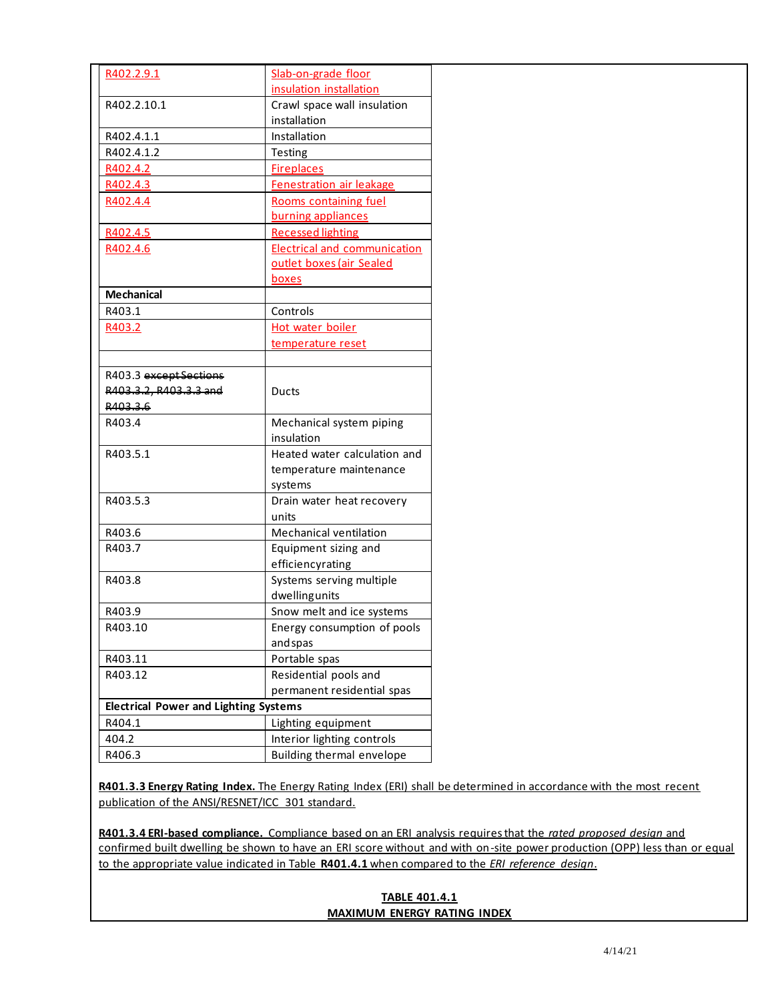| R402.2.9.1                                   | Slab-on-grade floor                 |
|----------------------------------------------|-------------------------------------|
|                                              | insulation installation             |
| R402.2.10.1                                  | Crawl space wall insulation         |
|                                              | installation                        |
| R402.4.1.1                                   | Installation                        |
| R402.4.1.2                                   | Testing                             |
| R402.4.2                                     | <b>Fireplaces</b>                   |
| R402.4.3                                     | <b>Fenestration air leakage</b>     |
| R402.4.4                                     | Rooms containing fuel               |
|                                              | burning appliances                  |
| R402.4.5                                     | <b>Recessed lighting</b>            |
| R402.4.6                                     | <b>Electrical and communication</b> |
|                                              | outlet boxes (air Sealed            |
|                                              | boxes                               |
| <b>Mechanical</b>                            |                                     |
| R403.1                                       | Controls                            |
| R403.2                                       | Hot water boiler                    |
|                                              | temperature reset                   |
|                                              |                                     |
| R403.3 except Sections                       |                                     |
| R403.3.2, R403.3.3 and                       | Ducts                               |
| R403.3.6                                     |                                     |
| R403.4                                       | Mechanical system piping            |
|                                              | insulation                          |
| R403.5.1                                     | Heated water calculation and        |
|                                              | temperature maintenance             |
|                                              | systems                             |
| R403.5.3                                     | Drain water heat recovery           |
|                                              | units                               |
| R403.6                                       | Mechanical ventilation              |
| R403.7                                       | Equipment sizing and                |
|                                              | efficiencyrating                    |
| R403.8                                       | Systems serving multiple            |
|                                              | dwellingunits                       |
|                                              | Snow melt and ice systems           |
| R403.9                                       |                                     |
| R403.10                                      | Energy consumption of pools         |
|                                              | and spas                            |
| R403.11                                      | Portable spas                       |
| R403.12                                      | Residential pools and               |
|                                              | permanent residential spas          |
| <b>Electrical Power and Lighting Systems</b> |                                     |
| R404.1                                       | Lighting equipment                  |
| 404.2                                        | Interior lighting controls          |
| R406.3                                       | Building thermal envelope           |

 **R401.3.3 Energy Rating Index.** The Energy Rating Index (ERI) shall be determined in accordance with the most recent publication of the ANSI/RESNET/ICC 301 standard.

 **R401.3.4 ERI-based compliance.** Compliance based on an ERI analysis requires that the *rated proposed design* and confirmed built dwelling be shown to have an ERI score without and with on-site power production (OPP) less than or equal to the appropriate value indicated in Table **R401.4.1** when compared to the *ERI reference design*.

## **MAXIMUM ENERGY RATING INDEX TABLE 401.4.1**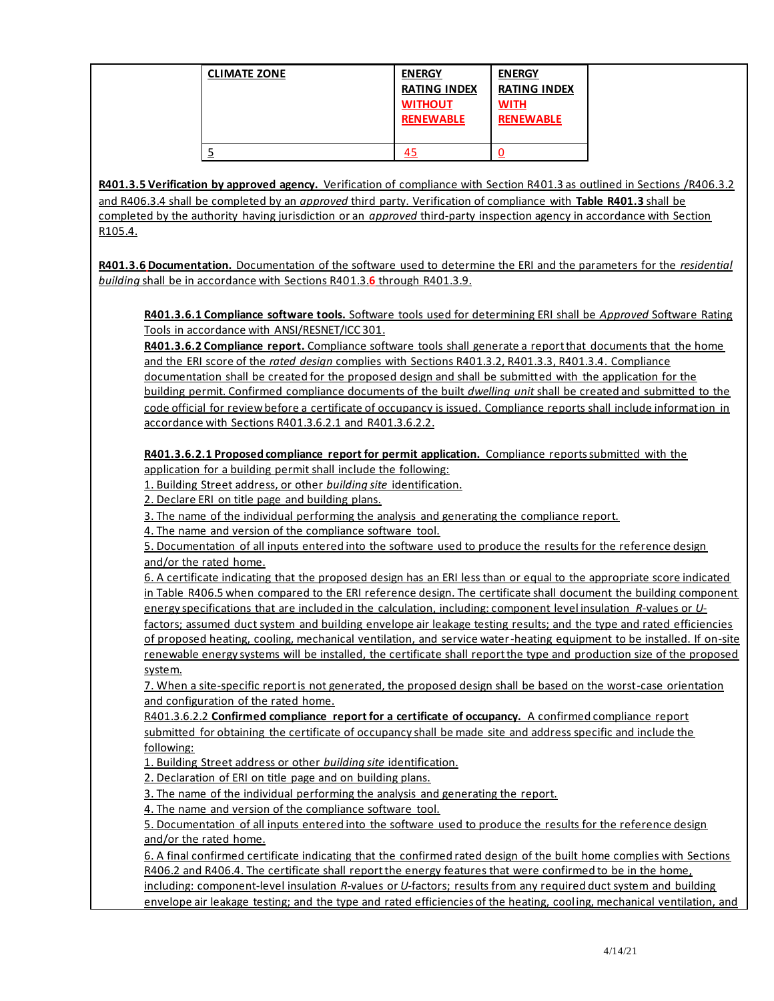| <b>CLIMATE ZONE</b> | <b>ENERGY</b><br><b>RATING INDEX</b><br><b>WITHOUT</b><br><b>RENEWABLE</b> | <b>ENERGY</b><br><b>RATING INDEX</b><br><b>WITH</b><br><b>RENEWABLE</b> |
|---------------------|----------------------------------------------------------------------------|-------------------------------------------------------------------------|
|                     |                                                                            |                                                                         |

 **R401.3.5 Verification by approved agency.** Verification of compliance with Section R401.3 as outlined in Sections /R406.3.2 and R406.3.4 shall be completed by an *approved* third party. Verification of compliance with **Table R401.3** shall be completed by the authority having jurisdiction or an *approved* third-party inspection agency in accordance with Section R105.4.

 **R401.3.6 Documentation.** Documentation of the software used to determine the ERI and the parameters for the *residential building* shall be in accordance with Sections R401.3.**6** through R401.3.9.

 **R401.3.6.1 Compliance software tools.** Software tools used for determining ERI shall be *Approved* Software Rating Tools in accordance with ANSI/RESNET/ICC 301.

 **R401.3.6.2 Compliance report.** Compliance software tools shall generate a report that documents that the home and the ERI score of the *rated design* complies with Sections R401.3.2, R401.3.3, R401.3.4. Compliance documentation shall be created for the proposed design and shall be submitted with the application for the building permit. Confirmed compliance documents of the built *dwelling unit* shall be created and submitted to the code official for review before a certificate of occupancy is issued. Compliance reports shall include information in accordance with Sections R401.3.6.2.1 and R401.3.6.2.2.

 **R401.3.6.2.1 Proposed compliance report for permit application.** Compliance reports submitted with the application for a building permit shall include the following:

1. Building Street address, or other *building site* identification.

2. Declare ERI on title page and building plans.

3. The name of the individual performing the analysis and generating the compliance report.

4. The name and version of the compliance software tool.

 5. Documentation of all inputs entered into the software used to produce the results for the reference design and/or the rated home.

 6. A certificate indicating that the proposed design has an ERI less than or equal to the appropriate score indicated in Table R406.5 when compared to the ERI reference design. The certificate shall document the building component energy specifications that are included in the calculation, including: component level insulation *R*-values or *U*-

factors; assumed duct system and building envelope air leakage testing results; and the type and rated efficiencies of proposed heating, cooling, mechanical ventilation, and service water -heating equipment to be installed. If on-site renewable energy systems will be installed, the certificate shall report the type and production size of the proposed system.

 7. When a site-specific report is not generated, the proposed design shall be based on the worst-case orientation and configuration of the rated home.

 R401.3.6.2.2 **Confirmed compliance report for a certificate of occupancy.** A confirmed compliance report submitted for obtaining the certificate of occupancy shall be made site and address specific and include the following:

1. Building Street address or other *building site* identification.

2. Declaration of ERI on title page and on building plans.

3. The name of the individual performing the analysis and generating the report.

4. The name and version of the compliance software tool.

 5. Documentation of all inputs entered into the software used to produce the results for the reference design and/or the rated home.

 6. A final confirmed certificate indicating that the confirmed rated design of the built home complies with Sections R406.2 and R406.4. The certificate shall report the energy features that were confirmed to be in the home, including: component-level insulation *R*-values or *U*-factors; results from any required duct system and building

envelope air leakage testing; and the type and rated efficiencies of the heating, cooling, mechanical ventilation, and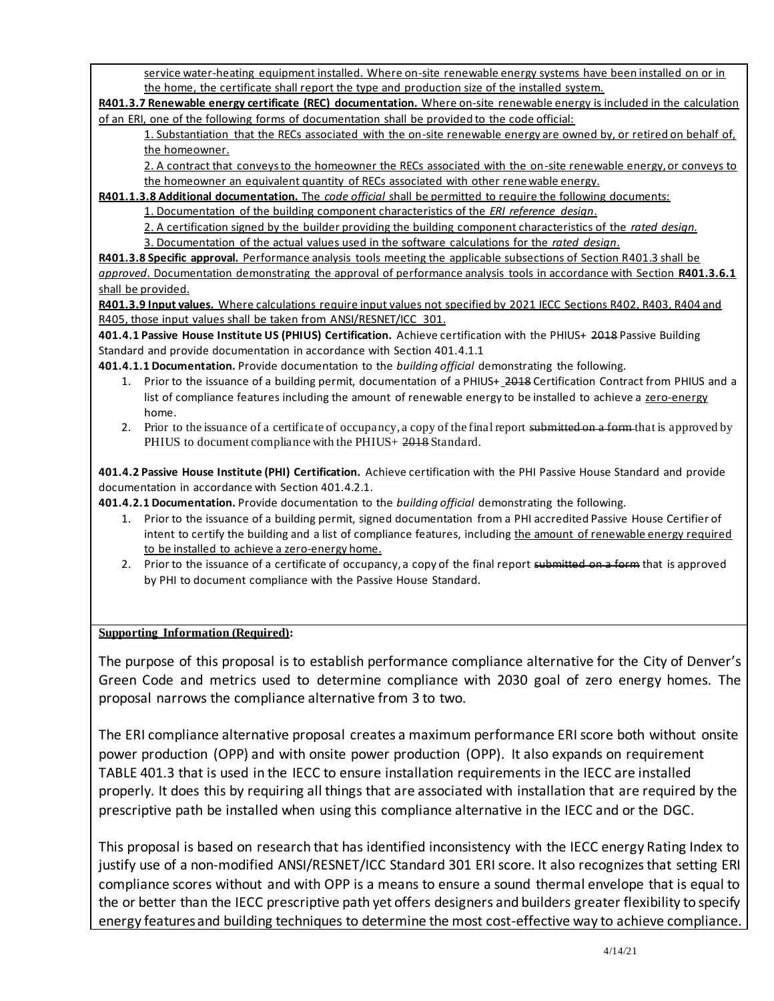service water-heating equipment installed. Where on-site renewable energy systems have been installed on or in the home, the certificate shall report the type and production size of the installed system.

 **R401.3.7 Renewable energy certificate (REC) documentation.** Where on-site renewable energy is included in the calculation of an ERI, one of the following forms of documentation shall be provided to the code official:

1. Substantiation that the RECs associated with the on-site renewable energy are owned by, or retired on behalf of, the homeowner.

2. A contract that conveys to the homeowner the RECs associated with the on-site renewable energy, or conveys to the homeowner an equivalent quantity of RECs associated with other rene wable energy.

**R401.1.3.8 Additional documentation.** The *code official* shall be permitted to require the following documents:

1. Documentation of the building component characteristics of the *ERI reference design*.

2. A certification signed by the builder providing the building component characteristics of the *rated design.* 

3. Documentation of the actual values used in the software calculations for the *rated design*.

 **R401.3.8 Specific approval.** Performance analysis tools meeting the applicable subsections of Section R401.3 shall be *approved*. Documentation demonstrating the approval of performance analysis tools in accordance with Section **R401.3.6.1**  shall be provided.

 **R401.3.9 Input values.** Where calculations require input values not specified by 2021 IECC Sections R402, R403, R404 and R405, those input values shall be taken from ANSI/RESNET/ICC 301.

 **401.4.1 Passive House Institute US (PHIUS) Certification.** Achieve certification with the PHIUS+ 2018 Passive Building Standard and provide documentation in accordance with Section 401.4.1.1

**401.4.1.1 Documentation.** Provide documentation to the *building official* demonstrating the following.

- 1. Prior to the issuance of a building permit, documentation of a PHIUS+ 2018 Certification Contract from PHIUS and a list of compliance features including the amount of renewable energy to be installed to achieve a zero-energy home.
- 2. Prior to the issuance of a certificate of occupancy, a copy of the final report submitted on a form that is approved by PHIUS to document compliance with the PHIUS+ 2018 Standard.

 **401.4.2 Passive House Institute (PHI) Certification.** Achieve certification with the PHI Passive House Standard and provide documentation in accordance with Section 401.4.2.1.

**401.4.2.1 Documentation.** Provide documentation to the *building official* demonstrating the following.

- 1. Prior to the issuance of a building permit, signed documentation from a PHI accredited Passive House Certifier of intent to certify the building and a list of compliance features, including the amount of renewable energy required to be installed to achieve a zero-energy home.
- 2. Prior to the issuance of a certificate of occupancy, a copy of the final report submitted on a form that is approved by PHI to document compliance with the Passive House Standard.

### **Supporting Information (Required):**

 The purpose of this proposal is to establish performance compliance alternative for the City of Denver's Green Code and metrics used to determine compliance with 2030 goal of zero energy homes. The proposal narrows the compliance alternative from 3 to two.

 The ERI compliance alternative proposal creates a maximum performance ERI score both without onsite power production (OPP) and with onsite power production (OPP). It also expands on requirement TABLE 401.3 that is used in the IECC to ensure installation requirements in the IECC are installed properly. It does this by requiring all things that are associated with installation that are required by the prescriptive path be installed when using this compliance alternative in the IECC and or the DGC.

 This proposal is based on research that has identified inconsistency with the IECC energy Rating Index to justify use of a non-modified ANSI/RESNET/ICC Standard 301 ERI score. It also recognizes that setting ERI compliance scores without and with OPP is a means to ensure a sound thermal envelope that is equal to the or better than the IECC prescriptive path yet offers designers and builders greater flexibility to specify energy features and building techniques to determine the most cost-effective way to achieve compliance.